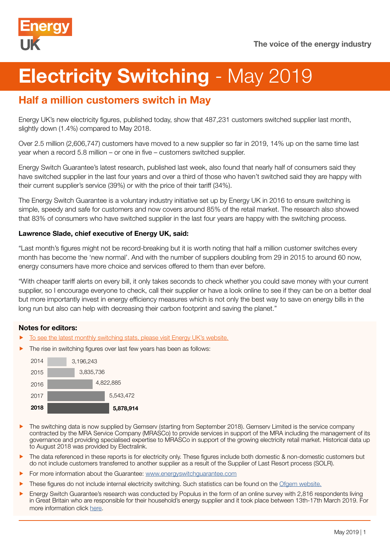

# Electricity Switching - May 2019

## Half a million customers switch in May

Energy UK's new electricity figures, published today, show that 487,231 customers switched supplier last month, slightly down (1.4%) compared to May 2018.

Over 2.5 million (2,606,747) customers have moved to a new supplier so far in 2019, 14% up on the same time last year when a record 5.8 million – or one in five – customers switched supplier.

Energy Switch Guarantee's latest research, published last week, also found that nearly half of consumers said they have switched supplier in the last four years and over a third of those who haven't switched said they are happy with their current supplier's service (39%) or with the price of their tariff (34%).

The Energy Switch Guarantee is a voluntary industry initiative set up by Energy UK in 2016 to ensure switching is simple, speedy and safe for customers and now covers around 85% of the retail market. The research also showed that 83% of consumers who have switched supplier in the last four years are happy with the switching process.

#### Lawrence Slade, chief executive of Energy UK, said:

"Last month's figures might not be record-breaking but it is worth noting that half a million customer switches every month has become the 'new normal'. And with the number of suppliers doubling from 29 in 2015 to around 60 now, energy consumers have more choice and services offered to them than ever before.

"With cheaper tariff alerts on every bill, it only takes seconds to check whether you could save money with your current supplier, so I encourage everyone to check, call their supplier or have a look online to see if they can be on a better deal but more importantly invest in energy efficiency measures which is not only the best way to save on energy bills in the long run but also can help with decreasing their carbon footprint and saving the planet."

#### Notes for editors:

- [To see the latest monthly switching stats, please visit Energy UK's website.](http://www.energy-uk.org.uk/publication/293-research-and-reports/switchingreports.html)
- The rise in switching figures over last few years has been as follows:



- The switching data is now supplied by Gemserv (starting from September 2018). Gemserv Limited is the service company contracted by the MRA Service Company (MRASCo) to provide services in support of the MRA including the management of its governance and providing specialised expertise to MRASCo in support of the growing electricity retail market. Historical data up to August 2018 was provided by Electralink.
- The data referenced in these reports is for electricity only. These figures include both domestic & non-domestic customers but do not include customers transferred to another supplier as a result of the Supplier of Last Resort process (SOLR).
- For more information about the Guarantee: [www.energyswitchguarantee.com](http://www.energyswitchguarantee.com)
- f These figures do not include internal electricity switching. Such statistics can be found on the [Ofgem website.](https://www.ofgem.gov.uk/data-portal/retail-market-indicators)
- f Energy Switch Guarantee's research was conducted by Populus in the form of an online survey with 2,816 respondents living in Great Britain who are responsible for their household's energy supplier and it took place between 13th-17th March 2019. For more information click [here](https://www.energyswitchguarantee.com/latest-news/nearly-half-of-energy-consumers-have-switched-according-to-new-survey/).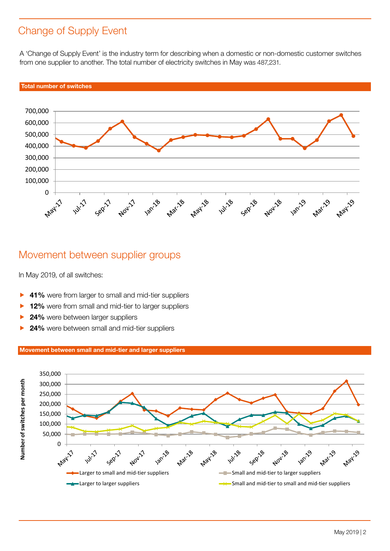## Change of Supply Event

A 'Change of Supply Event' is the industry term for describing when a domestic or non-domestic customer switches from one supplier to another. The total number of electricity switches in May was 487,231.



### Movement between supplier groups

In May 2019, of all switches:

- 41% were from larger to small and mid-tier suppliers
- 12% were from small and mid-tier to larger suppliers
- 24% were between larger suppliers
- 24% were between small and mid-tier suppliers